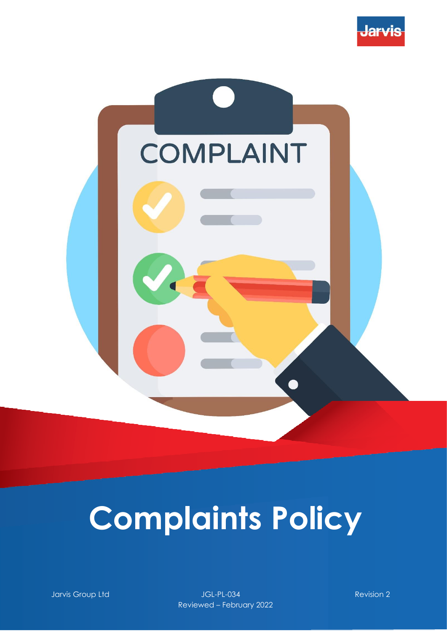



# **Complaints Policy**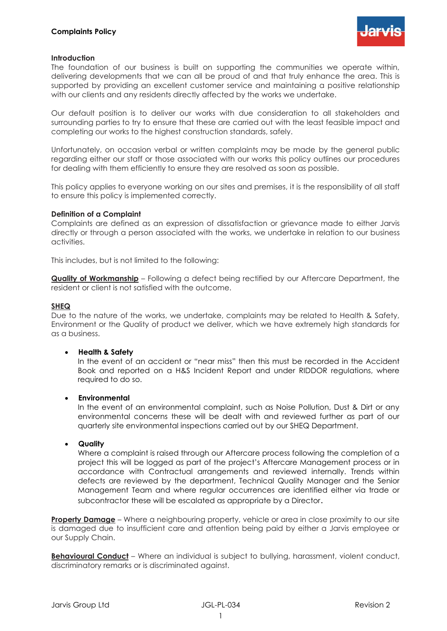

## **Introduction**

The foundation of our business is built on supporting the communities we operate within, delivering developments that we can all be proud of and that truly enhance the area. This is supported by providing an excellent customer service and maintaining a positive relationship with our clients and any residents directly affected by the works we undertake.

Our default position is to deliver our works with due consideration to all stakeholders and surrounding parties to try to ensure that these are carried out with the least feasible impact and completing our works to the highest construction standards, safely.

Unfortunately, on occasion verbal or written complaints may be made by the general public regarding either our staff or those associated with our works this policy outlines our procedures for dealing with them efficiently to ensure they are resolved as soon as possible.

This policy applies to everyone working on our sites and premises, it is the responsibility of all staff to ensure this policy is implemented correctly.

## **Definition of a Complaint**

Complaints are defined as an expression of dissatisfaction or grievance made to either Jarvis directly or through a person associated with the works, we undertake in relation to our business activities.

This includes, but is not limited to the following:

**Quality of Workmanship** – Following a defect being rectified by our Aftercare Department, the resident or client is not satisfied with the outcome.

### **SHEQ**

Due to the nature of the works, we undertake, complaints may be related to Health & Safety, Environment or the Quality of product we deliver, which we have extremely high standards for as a business.

## • **Health & Safety**

In the event of an accident or "near miss" then this must be recorded in the Accident Book and reported on a H&S Incident Report and under RIDDOR regulations, where required to do so.

## • **Environmental**

In the event of an environmental complaint, such as Noise Pollution, Dust & Dirt or any environmental concerns these will be dealt with and reviewed further as part of our quarterly site environmental inspections carried out by our SHEQ Department.

#### • **Quality**

Where a complaint is raised through our Aftercare process following the completion of a project this will be logged as part of the project's Aftercare Management process or in accordance with Contractual arrangements and reviewed internally. Trends within defects are reviewed by the department, Technical Quality Manager and the Senior Management Team and where regular occurrences are identified either via trade or subcontractor these will be escalated as appropriate by a Director.

**Property Damage** – Where a neighbouring property, vehicle or area in close proximity to our site is damaged due to insufficient care and attention being paid by either a Jarvis employee or our Supply Chain.

**Behavioural Conduct** – Where an individual is subject to bullying, harassment, violent conduct, discriminatory remarks or is discriminated against.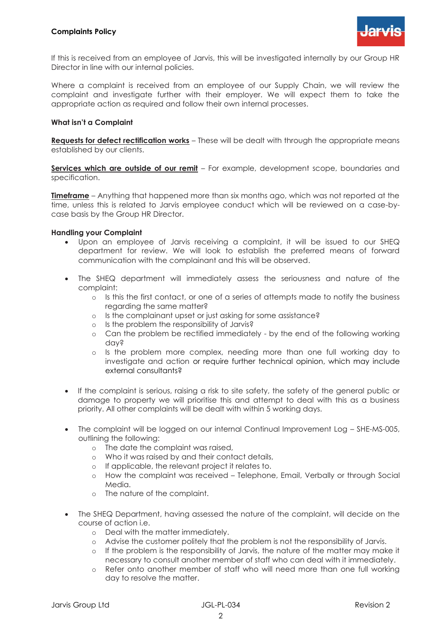

If this is received from an employee of Jarvis, this will be investigated internally by our Group HR Director in line with our internal policies.

Where a complaint is received from an employee of our Supply Chain, we will review the complaint and investigate further with their employer. We will expect them to take the appropriate action as required and follow their own internal processes.

## **What isn't a Complaint**

**Requests for defect rectification works** – These will be dealt with through the appropriate means established by our clients.

**Services which are outside of our remit** – For example, development scope, boundaries and specification.

**Timeframe** – Anything that happened more than six months ago, which was not reported at the time, unless this is related to Jarvis employee conduct which will be reviewed on a case-bycase basis by the Group HR Director.

## **Handling your Complaint**

- Upon an employee of Jarvis receiving a complaint, it will be issued to our SHEQ department for review. We will look to establish the preferred means of forward communication with the complainant and this will be observed.
- The SHEQ department will immediately assess the seriousness and nature of the complaint:
	- o Is this the first contact, or one of a series of attempts made to notify the business regarding the same matter?
	- o Is the complainant upset or just asking for some assistance?
	- o Is the problem the responsibility of Jarvis?
	- o Can the problem be rectified immediately by the end of the following working day?
	- o Is the problem more complex, needing more than one full working day to investigate and action or require further technical opinion, which may include external consultants?
- If the complaint is serious, raising a risk to site safety, the safety of the general public or damage to property we will prioritise this and attempt to deal with this as a business priority. All other complaints will be dealt with within 5 working days.
- The complaint will be logged on our internal Continual Improvement Log SHE-MS-005, outlining the following:
	- o The date the complaint was raised,
	- o Who it was raised by and their contact details,
	- o If applicable, the relevant project it relates to.
	- o How the complaint was received Telephone, Email, Verbally or through Social Media.
	- o The nature of the complaint.
- The SHEQ Department, having assessed the nature of the complaint, will decide on the course of action i.e.
	- o Deal with the matter immediately.
	- o Advise the customer politely that the problem is not the responsibility of Jarvis.
	- o If the problem is the responsibility of Jarvis, the nature of the matter may make it necessary to consult another member of staff who can deal with it immediately.
	- o Refer onto another member of staff who will need more than one full working day to resolve the matter.